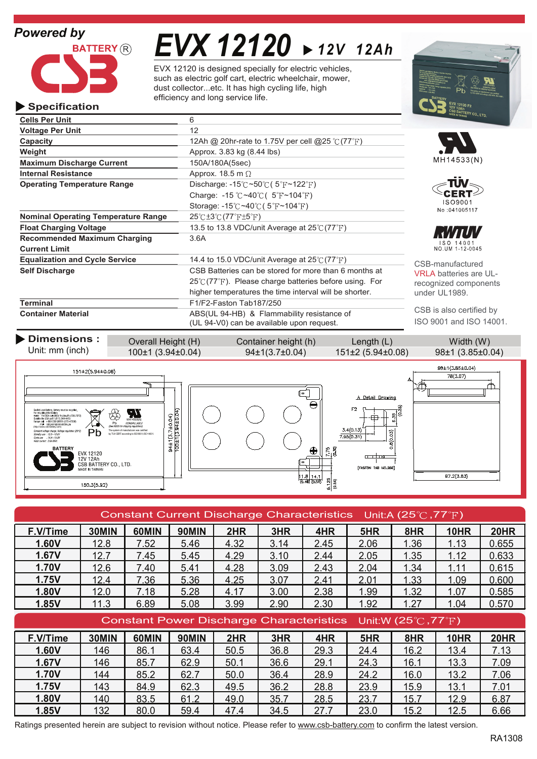

# *EVX 12120 12V 12Ah*

EVX 12120 is designed specially for electric vehicles, such as electric golf cart, electric wheelchair, mower, dust collector...etc. It has high cycling life, high efficiency and long service life.



#### **Specification**

| <b>Cells Per Unit</b>                      | 6                                                                                                         | $\cdots$ $\cdots$             |
|--------------------------------------------|-----------------------------------------------------------------------------------------------------------|-------------------------------|
| <b>Voltage Per Unit</b>                    | 12                                                                                                        |                               |
| Capacity                                   | 12Ah @ 20hr-rate to 1.75V per cell @25 °C (77 °F)                                                         |                               |
| Weight                                     | Approx. 3.83 kg (8.44 lbs)                                                                                |                               |
| <b>Maximum Discharge Current</b>           | 150A/180A(5sec)                                                                                           | MH14533(N)                    |
| <b>Internal Resistance</b>                 | Approx. 18.5 m $\Omega$                                                                                   |                               |
| <b>Operating Temperature Range</b>         | Discharge: $-15^{\circ}\text{C} \sim 50^{\circ}\text{C}$ ( $5^{\circ}\text{F} \sim 122^{\circ}\text{F}$ ) |                               |
|                                            | Charge: -15 $\degree$ C ~40 $\degree$ C ( 5 $\degree$ F ~104 $\degree$ F)                                 |                               |
|                                            | Storage: $-15^{\circ}$ C ~40 $\circ$ C (5 <sup>°</sup> F ~104 <sup>°</sup> F)                             | ISO9001<br>No:041005117       |
| <b>Nominal Operating Temperature Range</b> | $25^{\circ}$ C $\pm 3^{\circ}$ C $(77^{\circ}$ F $\pm 5^{\circ}$ F)                                       |                               |
| <b>Float Charging Voltage</b>              | 13.5 to 13.8 VDC/unit Average at $25^{\circ}$ (77 $^{\circ}$ F)                                           |                               |
| <b>Recommended Maximum Charging</b>        | 3.6A                                                                                                      | $SO$ 14001                    |
| <b>Current Limit</b>                       |                                                                                                           | NO.UM 1-12-0045               |
| <b>Equalization and Cycle Service</b>      | 14.4 to 15.0 VDC/unit Average at $25^{\circ}C(77^{\circ}F)$                                               | CSB-manufactured              |
| <b>Self Discharge</b>                      | CSB Batteries can be stored for more than 6 months at                                                     | <b>VRLA batteries are UL-</b> |
|                                            | $25^{\circ}$ (77 $^{\circ}$ F). Please charge batteries before using. For                                 | recognized components         |
|                                            | higher temperatures the time interval will be shorter.                                                    | under UL1989.                 |
| Terminal                                   | F1/F2-Faston Tab187/250                                                                                   |                               |
| <b>Container Material</b>                  | ABS(UL 94-HB) & Flammability resistance of                                                                | CSB is also certified by      |
|                                            | (UL 94-V0) can be available upon request.                                                                 | ISO 9001 and ISO 14001.       |

| Dimensions :<br>Unit: mm (inch)                                                                                                                                                                                                                                                                                                                                                                                                                                                                                                                          | Overall Height (H)<br>100±1 (3.94±0.04)                                                                                                                                                                                      |  | Container height (h)<br>94±1(3.7±0.04)                                                       | Length $(L)$<br>151±2 (5.94±0.08)                                                                                                                                       | Width (W)<br>98±1 (3.85±0.04)             |
|----------------------------------------------------------------------------------------------------------------------------------------------------------------------------------------------------------------------------------------------------------------------------------------------------------------------------------------------------------------------------------------------------------------------------------------------------------------------------------------------------------------------------------------------------------|------------------------------------------------------------------------------------------------------------------------------------------------------------------------------------------------------------------------------|--|----------------------------------------------------------------------------------------------|-------------------------------------------------------------------------------------------------------------------------------------------------------------------------|-------------------------------------------|
| 151±2(5.94±0.08)<br>Sealed Lead Battery. Battery must be recycled.<br>For recycling information:<br>Instite The USA call (300) Re-Use-Pb (738-7372)<br>Outside the USA call 1 (817) 244-4415<br>Europe call +800 CSB GREEN (272-47336)<br>mail csbgrosn@csb battery.eu<br>(http://www.csb-battery.com)<br>Pb<br>Constant voltage charge. Voltage reputation (20°C)<br>Standby use : 13.5-13.8V<br>Cycle use : 14.4-15.0V<br>MASA current : 3 64 MAY<br><b>BATTERY</b><br>EVX 12120<br>12V 12Ah<br>CSB BATTERY CO., LTD.<br>MADE IN TAIWAN<br>150.3(5.92) | $94\pm$ 1(3.7±0.04)<br>100±1(3.94±0.04)<br>$\sum_{\text{min}}$<br>₩<br><b>NONSPILLABL</b><br>(See MSDS for shipping requirements<br>The system of manufacturer was certified<br>by TUV CERT according to ISO 9001.ISO 14001. |  | $\qquad \qquad \Box$<br>⊖<br>$\bigoplus$<br>▭<br>$\frac{11.8}{(0.46)}$ $\frac{14.1}{(0.55)}$ | A Detail Drawing<br>15<br>F <sub>2</sub><br>$\circ$<br>Æ<br>3.4(0.13)<br>B(0.03)<br>7.95(0.31)<br><sub>c</sub><br>ି<br>۱o.<br>[FASTON TAB NO.250]<br>$rac{125}{(0.24)}$ | 98±1(3.85±0.04)<br>78(3.07)<br>97.2(3.83) |

| Constant Current Discharge Characteristics Unit:A (25 $\degree$ C, 77 $\degree$ F) |       |       |              |      |      |                                                 |      |                                          |             |             |
|------------------------------------------------------------------------------------|-------|-------|--------------|------|------|-------------------------------------------------|------|------------------------------------------|-------------|-------------|
| F.V/Time                                                                           | 30MIN | 60MIN | <b>90MIN</b> | 2HR  | 3HR  | 4HR                                             | 5HR  | 8HR                                      | <b>10HR</b> | <b>20HR</b> |
| 1.60V                                                                              | 12.8  | 7.52  | 5.46         | 4.32 | 3.14 | 2.45                                            | 2.06 | 1.36                                     | 1.13        | 0.655       |
| 1.67V                                                                              | 12.7  | 7.45  | 5.45         | 4.29 | 3.10 | 2.44                                            | 2.05 | 1.35                                     | 1.12        | 0.633       |
| <b>1.70V</b>                                                                       | 12.6  | 7.40  | 5.41         | 4.28 | 3.09 | 2.43                                            | 2.04 | 1.34                                     | 1.11        | 0.615       |
| 1.75V                                                                              | 12.4  | 7.36  | 5.36         | 4.25 | 3.07 | 2.41                                            | 2.01 | 1.33                                     | 1.09        | 0.600       |
| 1.80V                                                                              | 12.0  | 7.18  | 5.28         | 4.17 | 3.00 | 2.38                                            | 1.99 | 1.32                                     | 1.07        | 0.585       |
| 1.85V                                                                              | 11.3  | 6.89  | 5.08         | 3.99 | 2.90 | 2.30                                            | 1.92 | 1.27                                     | 1.04        | 0.570       |
|                                                                                    |       |       |              |      |      |                                                 |      |                                          |             |             |
|                                                                                    |       |       |              |      |      | <b>Constant Power Discharge Characteristics</b> |      | Unit:W $(25^{\circ}$ C, 77 $^{\circ}$ F) |             |             |
| F.V/Time                                                                           | 30MIN | 60MIN | <b>90MIN</b> | 2HR  | 3HR  | 4HR                                             | 5HR  | 8HR                                      | <b>10HR</b> | <b>20HR</b> |
| 1.60V                                                                              | 146   | 86.1  | 63.4         | 50.5 | 36.8 | 29.3                                            | 24.4 | 16.2                                     | 13.4        | 7.13        |
| 1.67V                                                                              | 146   | 85.7  | 62.9         | 50.1 | 36.6 | 29.1                                            | 24.3 | 16.1                                     | 13.3        | 7.09        |
| <b>1.70V</b>                                                                       | 144   | 85.2  | 62.7         | 50.0 | 36.4 | 28.9                                            | 24.2 | 16.0                                     | 13.2        | 7.06        |
| 1.75V                                                                              | 143   | 84.9  | 62.3         | 49.5 | 36.2 | 28.8                                            | 23.9 | 15.9                                     | 13.1        | 7.01        |
| 1.80V                                                                              | 140   | 83.5  | 61.2         | 49.0 | 35.7 | 28.5                                            | 23.7 | 15.7                                     | 12.9        | 6.87        |

Ratings presented herein are subject to revision without notice. Please refer to www.csb-battery.com to confirm the latest version.